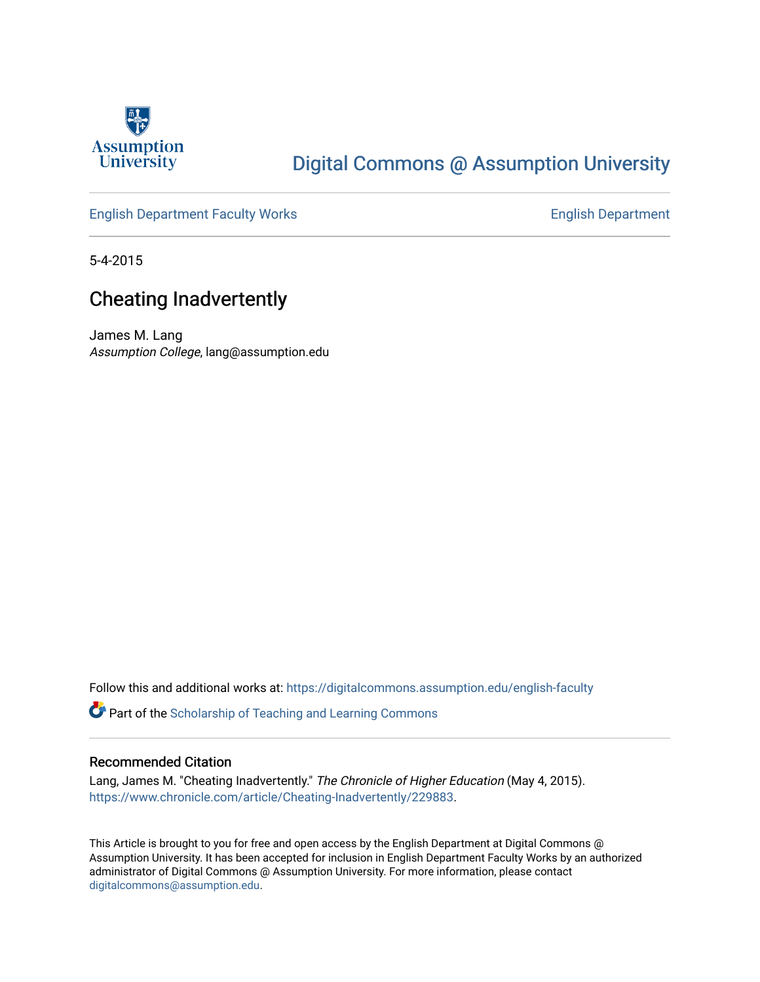

## [Digital Commons @ Assumption University](https://digitalcommons.assumption.edu/)

### [English Department Faculty Works](https://digitalcommons.assumption.edu/english-faculty) **English Department**

5-4-2015

## Cheating Inadvertently

James M. Lang Assumption College, lang@assumption.edu

Follow this and additional works at: [https://digitalcommons.assumption.edu/english-faculty](https://digitalcommons.assumption.edu/english-faculty?utm_source=digitalcommons.assumption.edu%2Fenglish-faculty%2F38&utm_medium=PDF&utm_campaign=PDFCoverPages) 

**P** Part of the Scholarship of Teaching and Learning Commons

#### Recommended Citation

Lang, James M. "Cheating Inadvertently." The Chronicle of Higher Education (May 4, 2015). [https://www.chronicle.com/article/Cheating-Inadvertently/229883.](https://www.chronicle.com/article/Cheating-Inadvertently/229883)

This Article is brought to you for free and open access by the English Department at Digital Commons @ Assumption University. It has been accepted for inclusion in English Department Faculty Works by an authorized administrator of Digital Commons @ Assumption University. For more information, please contact [digitalcommons@assumption.edu](mailto:digitalcommons@assumption.edu).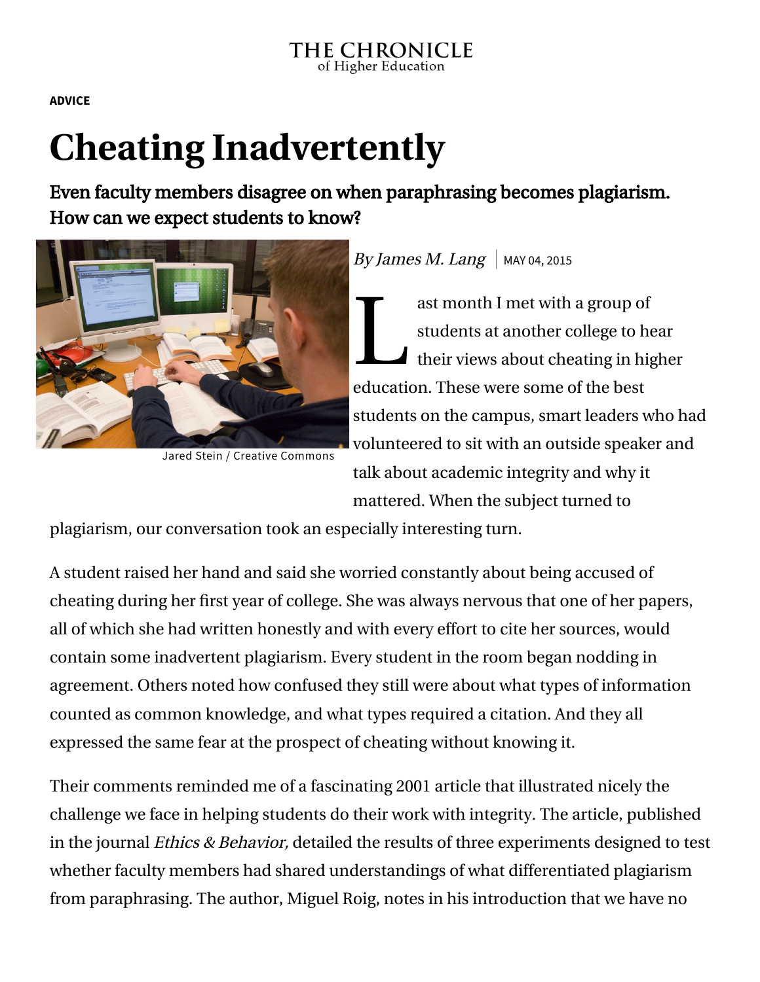**[ADVICE](https://www.chronicle.com/section/Advice/66)**

# **Cheating Inadvertently**

Even faculty members disagree on when paraphrasing becomes plagiarism. How can we expect students to know?



Jared Stein / Creative [Commons](https://creativecommons.org/licenses/by-nc-sa/2.0/)

## By James M. Lang | MAY 04, 2015

as<br>
st<br>
th<br>
th<br>
th<br>
th<br>
th<br>
th ast month I met with a group of students at another college to hear  $\blacktriangle$  their views about cheating in higher education. These were some of the best students on the campus, smart leaders who had volunteered to sit with an outside speaker and talk about academic integrity and why it mattered. When the subject turned to

plagiarism, our conversation took an especially interesting turn.

A student raised her hand and said she worried constantly about being accused of cheating during her first year of college. She was always nervous that one of her papers, all of which she had written honestly and with every effort to cite her sources, would contain some inadvertent plagiarism. Every student in the room began nodding in agreement. Others noted how confused they still were about what types of information counted as common knowledge, and what types required a citation. And they all expressed the same fear at the prospect of cheating without knowing it.

Their comments reminded me of a fascinating [2001 article](http://www.tandfonline.com/doi/abs/10.1207/S15327019EB1103_8#.VTAPMfnF-g8) that illustrated nicely the challenge we face in helping students do their work with integrity. The article, published in the journal *Ethics & Behavior*, detailed the results of three experiments designed to test whether faculty members had shared understandings of what differentiated plagiarism from paraphrasing. The author, Miguel Roig, notes in his introduction that we have no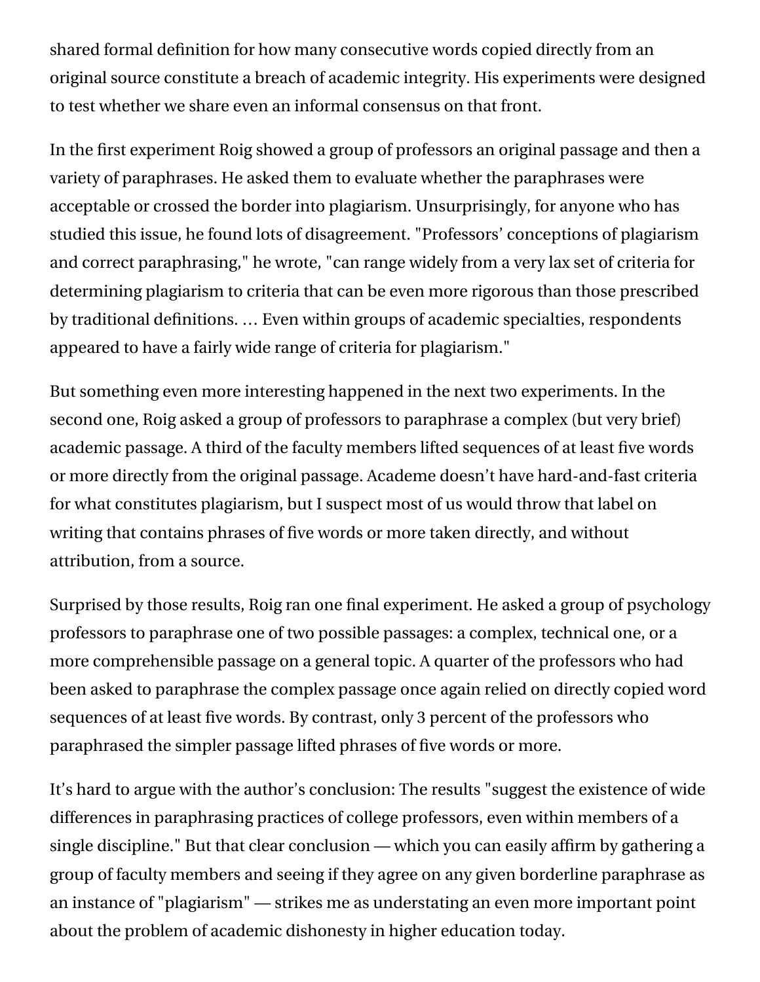shared formal definition for how many consecutive words copied directly from an original source constitute a breach of academic integrity. His experiments were designed to test whether we share even an informal consensus on that front.

In the first experiment Roig showed a group of professors an original passage and then a variety of paraphrases. He asked them to evaluate whether the paraphrases were acceptable or crossed the border into plagiarism. Unsurprisingly, for anyone who has studied this issue, he found lots of disagreement. "Professors' conceptions of plagiarism and correct paraphrasing," he wrote, "can range widely from a very lax set of criteria for determining plagiarism to criteria that can be even more rigorous than those prescribed by traditional definitions. … Even within groups of academic specialties, respondents appeared to have a fairly wide range of criteria for plagiarism."

But something even more interesting happened in the next two experiments. In the second one, Roig asked a group of professors to paraphrase a complex (but very brief) academic passage. A third of the faculty members lifted sequences of at least five words or more directly from the original passage. Academe doesn't have hard-and-fast criteria for what constitutes plagiarism, but I suspect most of us would throw that label on writing that contains phrases of five words or more taken directly, and without attribution, from a source.

Surprised by those results, Roig ran one final experiment. He asked a group of psychology professors to paraphrase one of two possible passages: a complex, technical one, or a more comprehensible passage on a general topic. A quarter of the professors who had been asked to paraphrase the complex passage once again relied on directly copied word sequences of at least five words. By contrast, only 3 percent of the professors who paraphrased the simpler passage lifted phrases of five words or more.

It's hard to argue with the author's conclusion: The results "suggest the existence of wide differences in paraphrasing practices of college professors, even within members of a single discipline." But that clear conclusion — which you can easily affirm by gathering a group of faculty members and seeing if they agree on any given borderline paraphrase as an instance of "plagiarism" — strikes me as understating an even more important point about the problem of academic dishonesty in higher education today.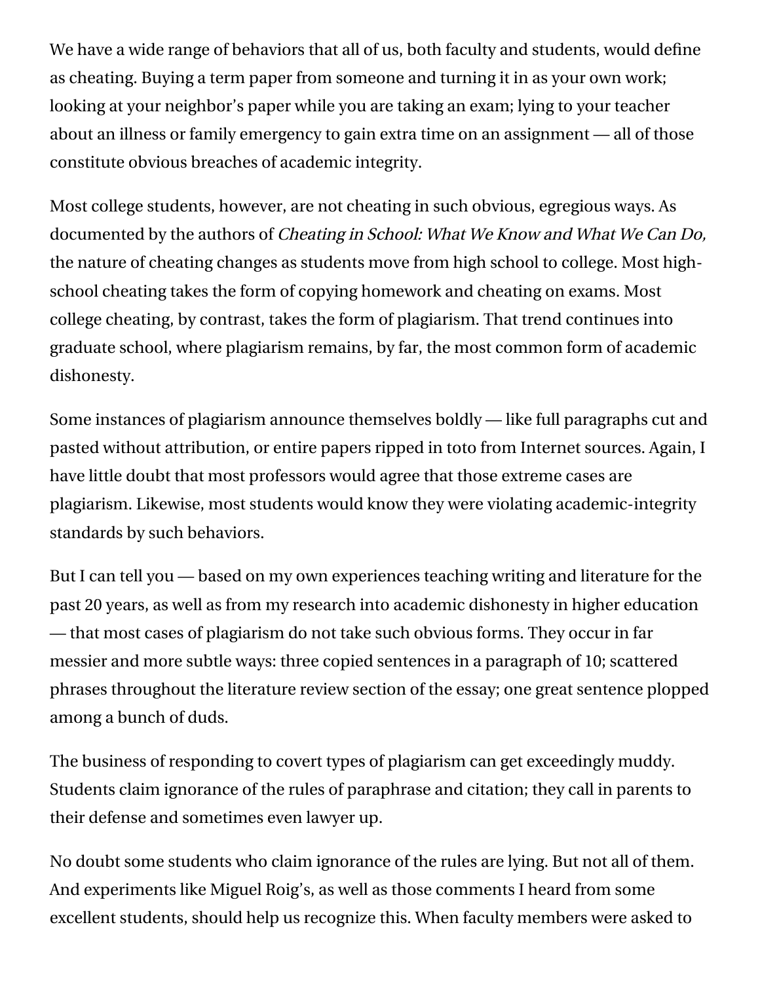We have a wide range of behaviors that all of us, both faculty and students, would define as cheating. Buying a term paper from someone and turning it in as your own work; looking at your neighbor's paper while you are taking an exam; lying to your teacher about an illness or family emergency to gain extra time on an assignment — all of those constitute obvious breaches of academic integrity.

Most college students, however, are not cheating in such obvious, egregious ways. As [documented](http://www.wiley.com/WileyCDA/WileyTitle/productCd-1405178043.html) by the authors of Cheating in School: What We Know and What We Can Do, the nature of cheating changes as students move from high school to college. Most highschool cheating takes the form of copying homework and cheating on exams. Most college cheating, by contrast, takes the form of plagiarism. That trend continues into graduate school, where plagiarism remains, by far, the most common form of academic dishonesty.

Some instances of plagiarism announce themselves boldly — like full paragraphs cut and pasted without attribution, or entire papers ripped in toto from Internet sources. Again, I have little doubt that most professors would agree that those extreme cases are plagiarism. Likewise, most students would know they were violating academic-integrity standards by such behaviors.

But I can tell you — based on my own experiences teaching writing and literature for the past 20 years, as well as from my research into academic dishonesty in higher education — that most cases of plagiarism do not take such obvious forms. They occur in far messier and more subtle ways: three copied sentences in a paragraph of 10; scattered phrases throughout the literature review section of the essay; one great sentence plopped among a bunch of duds.

The business of responding to covert types of plagiarism can get exceedingly muddy. Students claim ignorance of the rules of paraphrase and citation; they call in parents to their defense and sometimes even lawyer up.

No doubt some students who claim ignorance of the rules are lying. But not all of them. And experiments like Miguel Roig's, as well as those comments I heard from some excellent students, should help us recognize this. When faculty members were asked to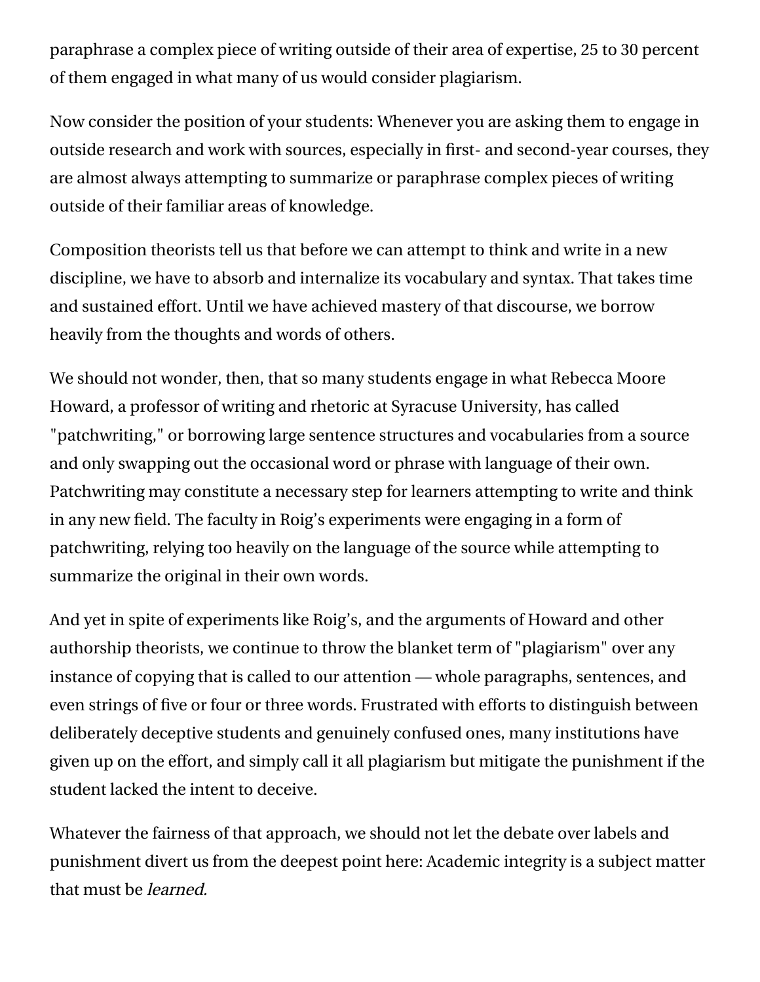paraphrase a complex piece of writing outside of their area of expertise, 25 to 30 percent of them engaged in what many of us would consider plagiarism.

Now consider the position of your students: Whenever you are asking them to engage in outside research and work with sources, especially in first- and second-year courses, they are almost always attempting to summarize or paraphrase complex pieces of writing outside of their familiar areas of knowledge.

Composition theorists tell us that before we can attempt to think and write in a new discipline, we have to absorb and internalize its vocabulary and syntax. That takes time and sustained effort. Until we have achieved mastery of that discourse, we borrow heavily from the thoughts and words of others.

We should not wonder, then, that so many students engage in what Rebecca Moore Howard, a professor of writing and rhetoric at Syracuse University, has called ["patchwriting,"](http://www.rebeccamoorehoward.com/videos/video-4) or borrowing large sentence structures and vocabularies from a source and only swapping out the occasional word or phrase with language of their own. Patchwriting may constitute a necessary step for learners attempting to write and think in any new field. The faculty in Roig's experiments were engaging in a form of patchwriting, relying too heavily on the language of the source while attempting to summarize the original in their own words.

And yet in spite of experiments like Roig's, and the arguments of Howard and other authorship theorists, we continue to throw the blanket term of "plagiarism" over any instance of copying that is called to our attention — whole paragraphs, sentences, and even strings of five or four or three words. Frustrated with efforts to distinguish between deliberately deceptive students and genuinely confused ones, many institutions have given up on the effort, and simply call it all plagiarism but mitigate the punishment if the student lacked the intent to deceive.

Whatever the fairness of that approach, we should not let the debate over labels and punishment divert us from the deepest point here: Academic integrity is a subject matter that must be learned.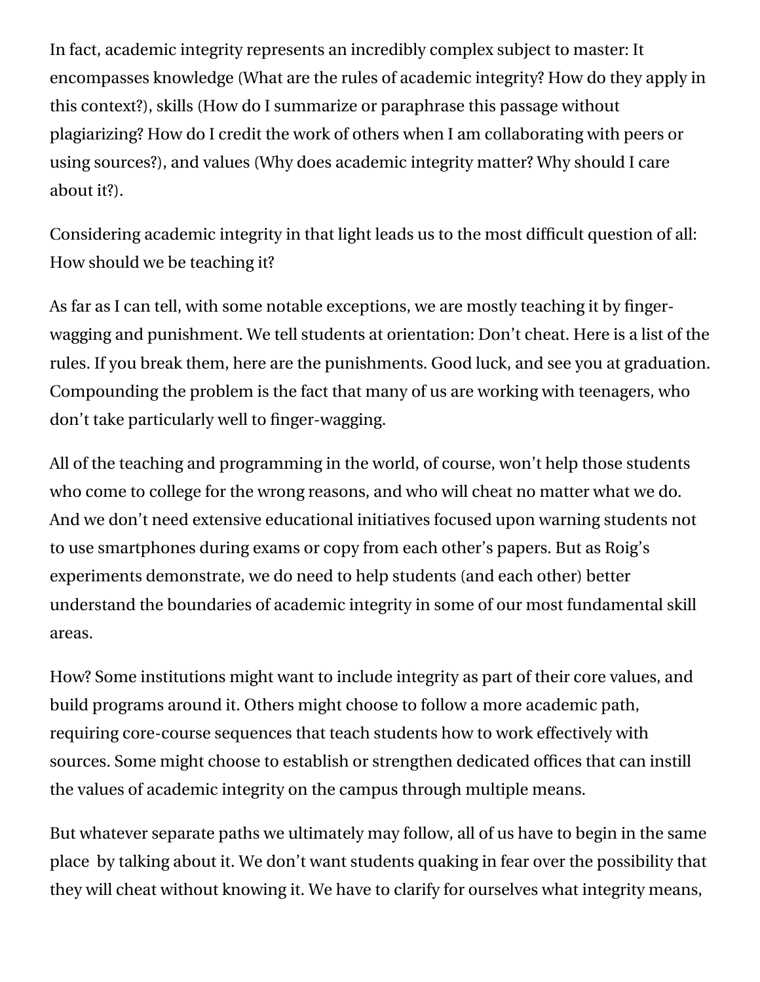In fact, academic integrity represents an incredibly complex subject to master: It encompasses knowledge (What are the rules of academic integrity? How do they apply in this context?), skills (How do I summarize or paraphrase this passage without plagiarizing? How do I credit the work of others when I am collaborating with peers or using sources?), and values (Why does academic integrity matter? Why should I care about it?).

Considering academic integrity in that light leads us to the most difficult question of all: How should we be teaching it?

As far as I can tell, with some notable exceptions, we are mostly teaching it by fingerwagging and punishment. We tell students at orientation: Don't cheat. Here is a list of the rules. If you break them, here are the punishments. Good luck, and see you at graduation. Compounding the problem is the fact that many of us are working with teenagers, who don't take particularly well to finger-wagging.

All of the teaching and programming in the world, of course, won't help those students who come to college for the wrong reasons, and who will cheat no matter what we do. And we don't need extensive educational initiatives focused upon warning students not to use smartphones during exams or copy from each other's papers. But as Roig's experiments demonstrate, we do need to help students (and each other) better understand the boundaries of academic integrity in some of our most fundamental skill areas.

How? Some institutions might want to include integrity as part of their core values, and build programs around it. Others might choose to follow a more academic path, requiring core-course sequences that teach students how to work effectively with sources. Some might choose to establish or strengthen dedicated offices that can instill the values of academic integrity on the campus through multiple means.

But whatever separate paths we ultimately may follow, all of us have to begin in the same place by talking about it. We don't want students quaking in fear over the possibility that they will cheat without knowing it. We have to clarify for ourselves what integrity means,